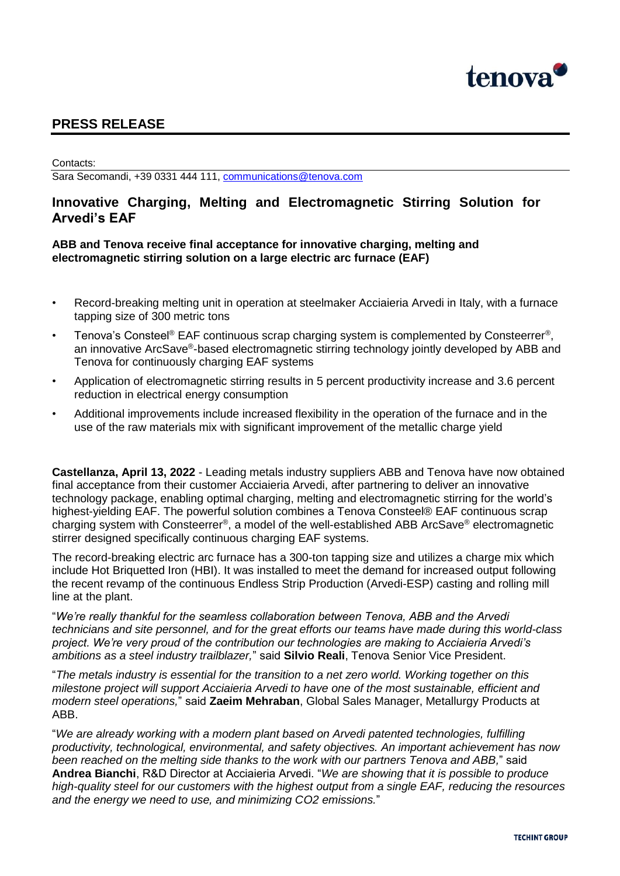

## **PRESS RELEASE**

## Contacts:

Sara Secomandi, +39 0331 444 111, [communications@tenova.com](mailto:communications@tenova.com)

## **Innovative Charging, Melting and Electromagnetic Stirring Solution for Arvedi's EAF**

**ABB and Tenova receive final acceptance for innovative charging, melting and electromagnetic stirring solution on a large electric arc furnace (EAF)**

- Record-breaking melting unit in operation at steelmaker Acciaieria Arvedi in Italy, with a furnace tapping size of 300 metric tons
- Tenova's Consteel® EAF continuous scrap charging system is complemented by Consteerrer®, an innovative ArcSave®-based electromagnetic stirring technology jointly developed by ABB and Tenova for continuously charging EAF systems
- Application of electromagnetic stirring results in 5 percent productivity increase and 3.6 percent reduction in electrical energy consumption
- Additional improvements include increased flexibility in the operation of the furnace and in the use of the raw materials mix with significant improvement of the metallic charge yield

**Castellanza, April 13, 2022** - Leading metals industry suppliers ABB and Tenova have now obtained final acceptance from their customer Acciaieria Arvedi, after partnering to deliver an innovative technology package, enabling optimal charging, melting and electromagnetic stirring for the world's highest-yielding EAF. The powerful solution combines a Tenova Consteel® EAF continuous scrap charging system with Consteerrer®, a model of the well-established ABB ArcSave® electromagnetic stirrer designed specifically continuous charging EAF systems.

The record-breaking electric arc furnace has a 300-ton tapping size and utilizes a charge mix which include Hot Briquetted Iron (HBI). It was installed to meet the demand for increased output following the recent revamp of the continuous Endless Strip Production (Arvedi-ESP) casting and rolling mill line at the plant.

"*We're really thankful for the seamless collaboration between Tenova, ABB and the Arvedi technicians and site personnel, and for the great efforts our teams have made during this world-class project. We're very proud of the contribution our technologies are making to Acciaieria Arvedi's ambitions as a steel industry trailblazer,*" said **Silvio Reali**, Tenova Senior Vice President.

"*The metals industry is essential for the transition to a net zero world. Working together on this milestone project will support Acciaieria Arvedi to have one of the most sustainable, efficient and modern steel operations,*" said **Zaeim Mehraban**, Global Sales Manager, Metallurgy Products at ABB.

"*We are already working with a modern plant based on Arvedi patented technologies, fulfilling productivity, technological, environmental, and safety objectives. An important achievement has now been reached on the melting side thanks to the work with our partners Tenova and ABB,*" said **Andrea Bianchi**, R&D Director at Acciaieria Arvedi. "*We are showing that it is possible to produce high-quality steel for our customers with the highest output from a single EAF, reducing the resources and the energy we need to use, and minimizing CO2 emissions.*"